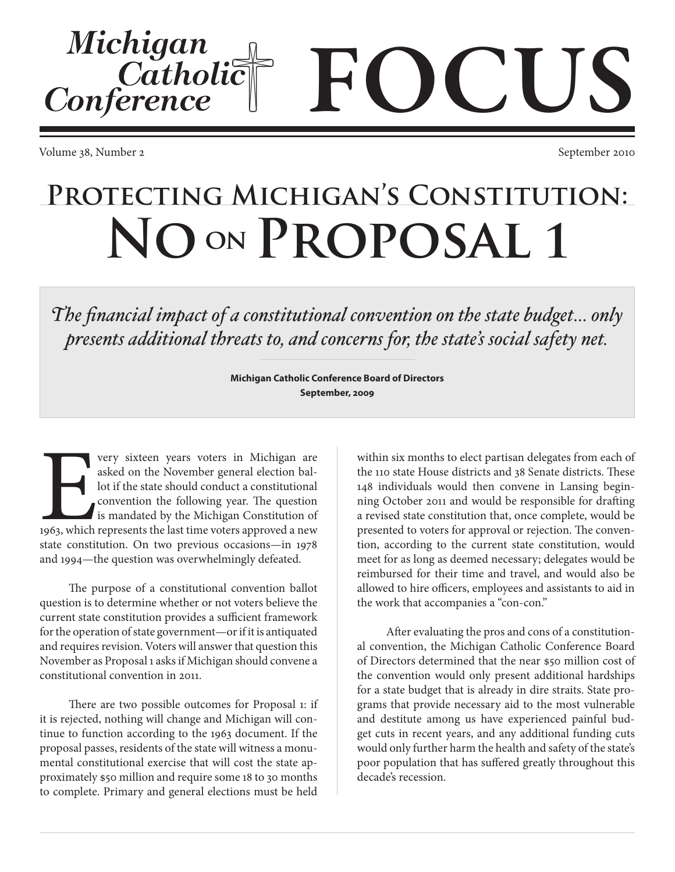Volume 38, Number 2 September 2010

Michigan

Conference

Catholic

## **Protecting Michigan's Constitution:** NO ON PROPOSAL 1

*The financial impact of a constitutional convention on the state budget… only presents additional threats to, and concerns for, the state's social safety net.*

> **Michigan Catholic Conference Board of Directors September, 2009**

E very sixteen years voters in Michigan are asked on the November general election ballot if the state should conduct a constitutional convention the following year. The question is mandated by the Michigan Constitution of 1963, which represents the last time voters approved a new state constitution. On two previous occasions—in 1978 and 1994—the question was overwhelmingly defeated.

The purpose of a constitutional convention ballot question is to determine whether or not voters believe the current state constitution provides a sufficient framework for the operation of state government—or if it is antiquated and requires revision. Voters will answer that question this November as Proposal 1 asks if Michigan should convene a constitutional convention in 2011.

There are two possible outcomes for Proposal 1: if it is rejected, nothing will change and Michigan will continue to function according to the 1963 document. If the proposal passes, residents of the state will witness a monumental constitutional exercise that will cost the state approximately \$50 million and require some 18 to 30 months to complete. Primary and general elections must be held

within six months to elect partisan delegates from each of the 110 state House districts and 38 Senate districts. These 148 individuals would then convene in Lansing beginning October 2011 and would be responsible for drafting a revised state constitution that, once complete, would be presented to voters for approval or rejection. The convention, according to the current state constitution, would meet for as long as deemed necessary; delegates would be reimbursed for their time and travel, and would also be allowed to hire officers, employees and assistants to aid in the work that accompanies a "con-con."

FOCUS

After evaluating the pros and cons of a constitutional convention, the Michigan Catholic Conference Board of Directors determined that the near \$50 million cost of the convention would only present additional hardships for a state budget that is already in dire straits. State programs that provide necessary aid to the most vulnerable and destitute among us have experienced painful budget cuts in recent years, and any additional funding cuts would only further harm the health and safety of the state's poor population that has suffered greatly throughout this decade's recession.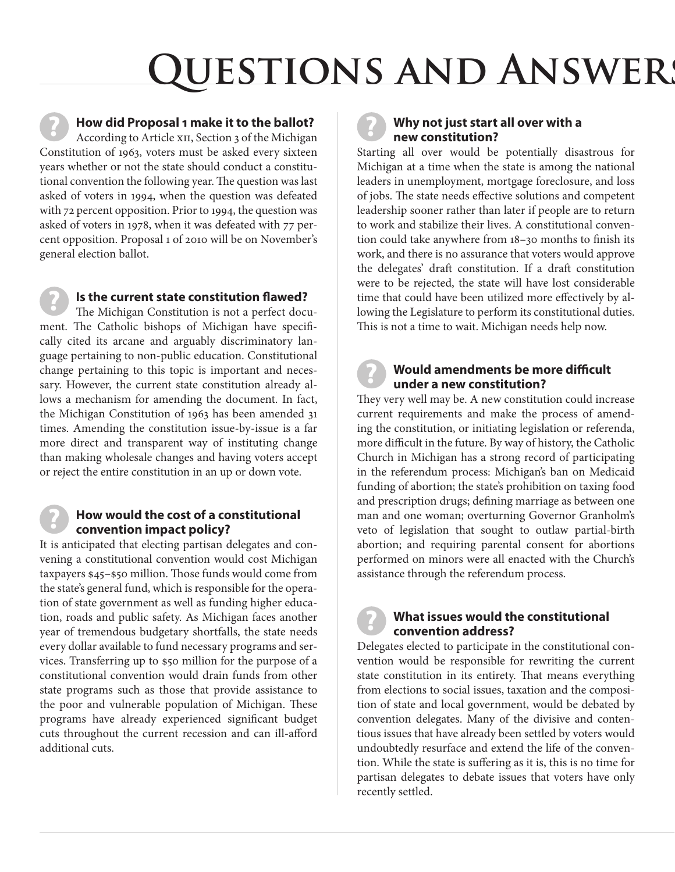## **QUESTIONS AND ANSWERS**

**How did Proposal 1 make it to the ballot?** According to Article XII, Section 3 of the Michigan Constitution of 1963, voters must be asked every sixteen years whether or not the state should conduct a constitutional convention the following year. The question was last asked of voters in 1994, when the question was defeated with 72 percent opposition. Prior to 1994, the question was asked of voters in 1978, when it was defeated with 77 percent opposition. Proposal 1 of 2010 will be on November's general election ballot. **?**

**Is the current state constitution flawed?** The Michigan Constitution is not a perfect document. The Catholic bishops of Michigan have specifically cited its arcane and arguably discriminatory language pertaining to non-public education. Constitutional change pertaining to this topic is important and necessary. However, the current state constitution already allows a mechanism for amending the document. In fact, the Michigan Constitution of 1963 has been amended 31 times. Amending the constitution issue-by-issue is a far more direct and transparent way of instituting change than making wholesale changes and having voters accept or reject the entire constitution in an up or down vote. **?**

#### **How would the cost of a constitutional convention impact policy?**

**?**

It is anticipated that electing partisan delegates and convening a constitutional convention would cost Michigan taxpayers \$45–\$50 million. Those funds would come from the state's general fund, which is responsible for the operation of state government as well as funding higher education, roads and public safety. As Michigan faces another year of tremendous budgetary shortfalls, the state needs every dollar available to fund necessary programs and services. Transferring up to \$50 million for the purpose of a constitutional convention would drain funds from other state programs such as those that provide assistance to the poor and vulnerable population of Michigan. These programs have already experienced significant budget cuts throughout the current recession and can ill-afford additional cuts.



#### **Why not just start all over with a new constitution?**

Starting all over would be potentially disastrous for Michigan at a time when the state is among the national leaders in unemployment, mortgage foreclosure, and loss of jobs. The state needs effective solutions and competent leadership sooner rather than later if people are to return to work and stabilize their lives. A constitutional convention could take anywhere from 18–30 months to finish its work, and there is no assurance that voters would approve the delegates' draft constitution. If a draft constitution were to be rejected, the state will have lost considerable time that could have been utilized more effectively by allowing the Legislature to perform its constitutional duties. This is not a time to wait. Michigan needs help now.

**?**

#### **Would amendments be more difficult under a new constitution?**

They very well may be. A new constitution could increase current requirements and make the process of amending the constitution, or initiating legislation or referenda, more difficult in the future. By way of history, the Catholic Church in Michigan has a strong record of participating in the referendum process: Michigan's ban on Medicaid funding of abortion; the state's prohibition on taxing food and prescription drugs; defining marriage as between one man and one woman; overturning Governor Granholm's veto of legislation that sought to outlaw partial-birth abortion; and requiring parental consent for abortions performed on minors were all enacted with the Church's assistance through the referendum process.

### **?**

#### **What issues would the constitutional convention address?**

Delegates elected to participate in the constitutional convention would be responsible for rewriting the current state constitution in its entirety. That means everything from elections to social issues, taxation and the composition of state and local government, would be debated by convention delegates. Many of the divisive and contentious issues that have already been settled by voters would undoubtedly resurface and extend the life of the convention. While the state is suffering as it is, this is no time for partisan delegates to debate issues that voters have only recently settled.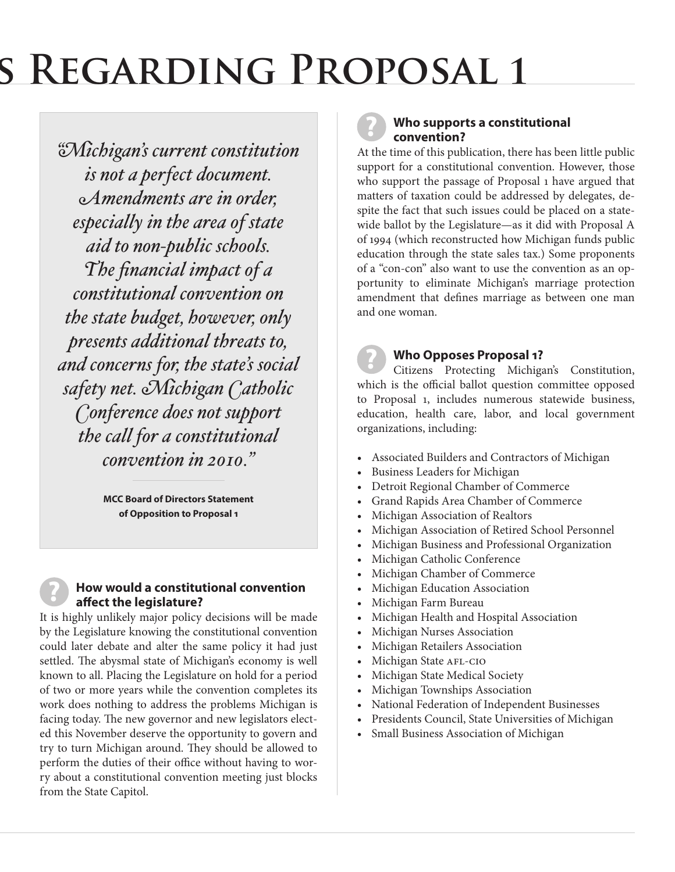## **GUEGARDING PROPOSAL 1**

*"Michigan's current constitution is not a perfect document. Amendments are in order, especially in the area of state aid to non-public schools. The financial impact of a constitutional convention on the state budget, however, only presents additional threats to, and concerns for, the state's social safety net. Michigan Catholic Conference does not support the call for a constitutional convention in 2010."*

> **MCC Board of Directors Statement of Opposition to Proposal 1**

#### **How would a constitutional convention affect the legislature?**

**?**

It is highly unlikely major policy decisions will be made by the Legislature knowing the constitutional convention could later debate and alter the same policy it had just settled. The abysmal state of Michigan's economy is well known to all. Placing the Legislature on hold for a period of two or more years while the convention completes its work does nothing to address the problems Michigan is facing today. The new governor and new legislators elected this November deserve the opportunity to govern and try to turn Michigan around. They should be allowed to perform the duties of their office without having to worry about a constitutional convention meeting just blocks from the State Capitol.

#### **Who supports a constitutional convention?**

**?**

At the time of this publication, there has been little public support for a constitutional convention. However, those who support the passage of Proposal 1 have argued that matters of taxation could be addressed by delegates, despite the fact that such issues could be placed on a statewide ballot by the Legislature—as it did with Proposal A of 1994 (which reconstructed how Michigan funds public education through the state sales tax.) Some proponents of a "con-con" also want to use the convention as an opportunity to eliminate Michigan's marriage protection amendment that defines marriage as between one man and one woman.

#### **Who Opposes Proposal 1?**

Citizens Protecting Michigan's Constitution, which is the official ballot question committee opposed to Proposal 1, includes numerous statewide business, education, health care, labor, and local government organizations, including: **?**

- Associated Builders and Contractors of Michigan
- Business Leaders for Michigan
- Detroit Regional Chamber of Commerce
- Grand Rapids Area Chamber of Commerce
- Michigan Association of Realtors
- Michigan Association of Retired School Personnel
- Michigan Business and Professional Organization
- Michigan Catholic Conference
- Michigan Chamber of Commerce
- Michigan Education Association
- Michigan Farm Bureau
- Michigan Health and Hospital Association
- Michigan Nurses Association
- Michigan Retailers Association
- Michigan State AFL-CIO
- Michigan State Medical Society
- Michigan Townships Association
- National Federation of Independent Businesses
- Presidents Council, State Universities of Michigan
- Small Business Association of Michigan